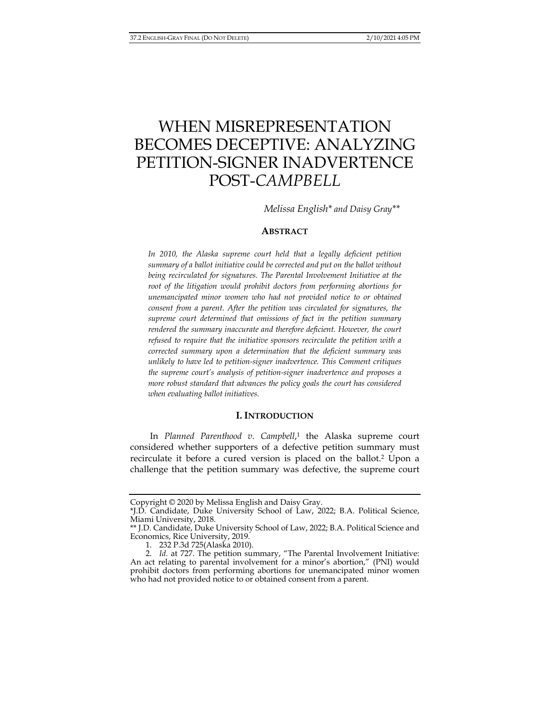# WHEN MISREPRESENTATION BECOMES DECEPTIVE: ANALYZING PETITION-SIGNER INADVERTENCE POST-*CAMPBELL*

*Melissa English\* and Daisy Gray\*\** 

## **ABSTRACT**

In 2010, the Alaska supreme court held that a legally deficient petition *summary of a ballot initiative could be corrected and put on the ballot without being recirculated for signatures. The Parental Involvement Initiative at the root of the litigation would prohibit doctors from performing abortions for unemancipated minor women who had not provided notice to or obtained consent from a parent. After the petition was circulated for signatures, the supreme court determined that omissions of fact in the petition summary rendered the summary inaccurate and therefore deficient. However, the court refused to require that the initiative sponsors recirculate the petition with a corrected summary upon a determination that the deficient summary was unlikely to have led to petition-signer inadvertence. This Comment critiques the supreme court's analysis of petition-signer inadvertence and proposes a more robust standard that advances the policy goals the court has considered when evaluating ballot initiatives.* 

#### **I. INTRODUCTION**

In *Planned Parenthood v. Campbell*, 1 the Alaska supreme court considered whether supporters of a defective petition summary must recirculate it before a cured version is placed on the ballot.<sup>2</sup> Upon a challenge that the petition summary was defective, the supreme court

Copyright © 2020 by Melissa English and Daisy Gray.

<sup>\*</sup>J.D. Candidate, Duke University School of Law, 2022; B.A. Political Science, Miami University, 2018.

<sup>\*\*</sup> J.D. Candidate, Duke University School of Law, 2022; B.A. Political Science and Economics, Rice University, 2019.

 <sup>1. 232</sup> P.3d 725(Alaska 2010).

 <sup>2.</sup> *Id.* at 727. The petition summary, "The Parental Involvement Initiative: An act relating to parental involvement for a minor's abortion," (PNI) would prohibit doctors from performing abortions for unemancipated minor women who had not provided notice to or obtained consent from a parent.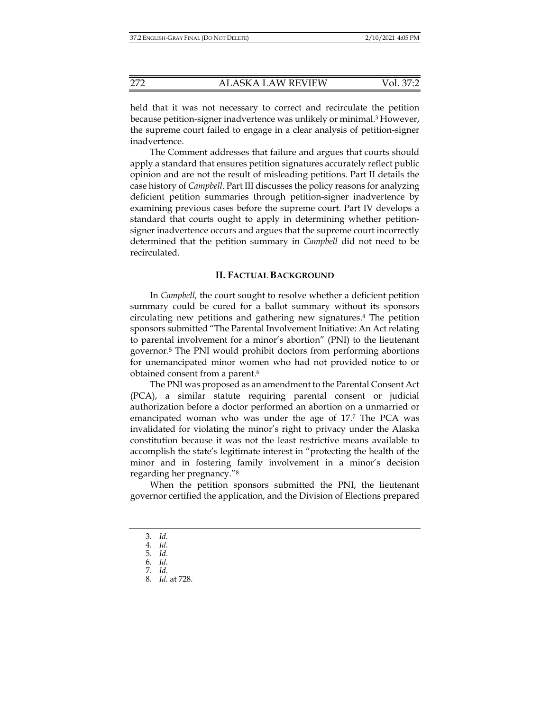held that it was not necessary to correct and recirculate the petition because petition-signer inadvertence was unlikely or minimal.3 However, the supreme court failed to engage in a clear analysis of petition-signer inadvertence.

The Comment addresses that failure and argues that courts should apply a standard that ensures petition signatures accurately reflect public opinion and are not the result of misleading petitions. Part II details the case history of *Campbell*. Part III discusses the policy reasons for analyzing deficient petition summaries through petition-signer inadvertence by examining previous cases before the supreme court. Part IV develops a standard that courts ought to apply in determining whether petitionsigner inadvertence occurs and argues that the supreme court incorrectly determined that the petition summary in *Campbell* did not need to be recirculated.

#### **II. FACTUAL BACKGROUND**

In *Campbell,* the court sought to resolve whether a deficient petition summary could be cured for a ballot summary without its sponsors circulating new petitions and gathering new signatures.4 The petition sponsors submitted "The Parental Involvement Initiative: An Act relating to parental involvement for a minor's abortion" (PNI) to the lieutenant governor.5 The PNI would prohibit doctors from performing abortions for unemancipated minor women who had not provided notice to or obtained consent from a parent.6

The PNI was proposed as an amendment to the Parental Consent Act (PCA), a similar statute requiring parental consent or judicial authorization before a doctor performed an abortion on a unmarried or emancipated woman who was under the age of 17.7 The PCA was invalidated for violating the minor's right to privacy under the Alaska constitution because it was not the least restrictive means available to accomplish the state's legitimate interest in "protecting the health of the minor and in fostering family involvement in a minor's decision regarding her pregnancy."8

When the petition sponsors submitted the PNI, the lieutenant governor certified the application, and the Division of Elections prepared

 <sup>3.</sup> *Id.*

 <sup>4.</sup> *Id.*

 <sup>5.</sup> *Id.*

 <sup>6.</sup> *Id.* 

 <sup>7.</sup> *Id.*  8. *Id.* at 728.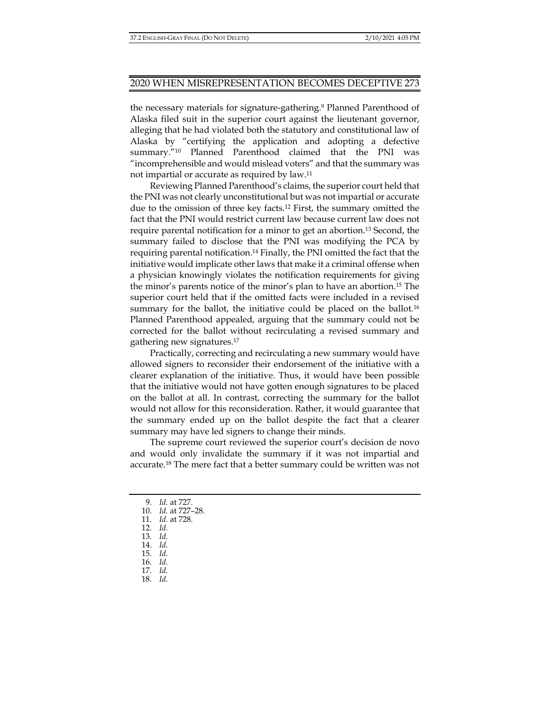the necessary materials for signature-gathering.<sup>9</sup> Planned Parenthood of Alaska filed suit in the superior court against the lieutenant governor, alleging that he had violated both the statutory and constitutional law of Alaska by "certifying the application and adopting a defective summary."10 Planned Parenthood claimed that the PNI was "incomprehensible and would mislead voters" and that the summary was not impartial or accurate as required by law.11

Reviewing Planned Parenthood's claims, the superior court held that the PNI was not clearly unconstitutional but was not impartial or accurate due to the omission of three key facts.12 First, the summary omitted the fact that the PNI would restrict current law because current law does not require parental notification for a minor to get an abortion.13 Second, the summary failed to disclose that the PNI was modifying the PCA by requiring parental notification.14 Finally, the PNI omitted the fact that the initiative would implicate other laws that make it a criminal offense when a physician knowingly violates the notification requirements for giving the minor's parents notice of the minor's plan to have an abortion.15 The superior court held that if the omitted facts were included in a revised summary for the ballot, the initiative could be placed on the ballot.<sup>16</sup> Planned Parenthood appealed, arguing that the summary could not be corrected for the ballot without recirculating a revised summary and gathering new signatures.17

Practically, correcting and recirculating a new summary would have allowed signers to reconsider their endorsement of the initiative with a clearer explanation of the initiative. Thus, it would have been possible that the initiative would not have gotten enough signatures to be placed on the ballot at all. In contrast, correcting the summary for the ballot would not allow for this reconsideration. Rather, it would guarantee that the summary ended up on the ballot despite the fact that a clearer summary may have led signers to change their minds.

The supreme court reviewed the superior court's decision de novo and would only invalidate the summary if it was not impartial and accurate.18 The mere fact that a better summary could be written was not

- 9. *Id.* at 727.
- 10. *Id.* at 727–28.
- 11. *Id.* at 728.
- 12. *Id.*
- 13. *Id.*
- 14. *Id.*  15. *Id.*
- 16. *Id.*
- 17. *Id.*
- 18. *Id.*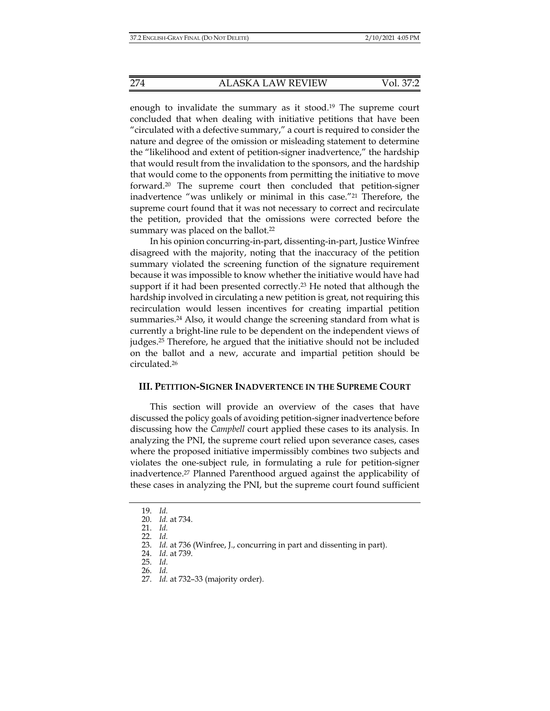enough to invalidate the summary as it stood.19 The supreme court concluded that when dealing with initiative petitions that have been "circulated with a defective summary," a court is required to consider the nature and degree of the omission or misleading statement to determine the "likelihood and extent of petition-signer inadvertence," the hardship that would result from the invalidation to the sponsors, and the hardship that would come to the opponents from permitting the initiative to move forward.20 The supreme court then concluded that petition-signer inadvertence "was unlikely or minimal in this case."21 Therefore, the supreme court found that it was not necessary to correct and recirculate the petition, provided that the omissions were corrected before the summary was placed on the ballot.<sup>22</sup>

In his opinion concurring-in-part, dissenting-in-part, Justice Winfree disagreed with the majority, noting that the inaccuracy of the petition summary violated the screening function of the signature requirement because it was impossible to know whether the initiative would have had support if it had been presented correctly.<sup>23</sup> He noted that although the hardship involved in circulating a new petition is great, not requiring this recirculation would lessen incentives for creating impartial petition summaries.24 Also, it would change the screening standard from what is currently a bright-line rule to be dependent on the independent views of judges.25 Therefore, he argued that the initiative should not be included on the ballot and a new, accurate and impartial petition should be circulated.26

## **III. PETITION-SIGNER INADVERTENCE IN THE SUPREME COURT**

This section will provide an overview of the cases that have discussed the policy goals of avoiding petition-signer inadvertence before discussing how the *Campbell* court applied these cases to its analysis. In analyzing the PNI, the supreme court relied upon severance cases, cases where the proposed initiative impermissibly combines two subjects and violates the one-subject rule, in formulating a rule for petition-signer inadvertence.27 Planned Parenthood argued against the applicability of these cases in analyzing the PNI, but the supreme court found sufficient

 <sup>19.</sup> *Id.* 

 <sup>20.</sup> *Id.* at 734.

 <sup>21.</sup> *Id.* 

 <sup>22.</sup> *Id.* 

 <sup>23.</sup> *Id.* at 736 (Winfree, J., concurring in part and dissenting in part).

 <sup>24.</sup> *Id.* at 739.

 <sup>25.</sup> *Id.* 26. *Id.* 

 <sup>27.</sup> *Id.* at 732–33 (majority order).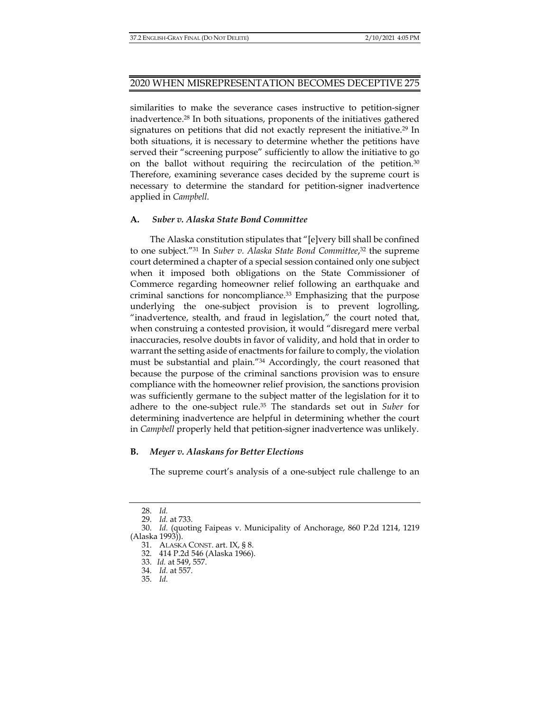similarities to make the severance cases instructive to petition-signer inadvertence.28 In both situations, proponents of the initiatives gathered signatures on petitions that did not exactly represent the initiative.29 In both situations, it is necessary to determine whether the petitions have served their "screening purpose" sufficiently to allow the initiative to go on the ballot without requiring the recirculation of the petition.30 Therefore, examining severance cases decided by the supreme court is necessary to determine the standard for petition-signer inadvertence applied in *Campbell*.

## **A.** *Suber v. Alaska State Bond Committee*

The Alaska constitution stipulates that "[e]very bill shall be confined to one subject."31 In *Suber v. Alaska State Bond Committee*, 32 the supreme court determined a chapter of a special session contained only one subject when it imposed both obligations on the State Commissioner of Commerce regarding homeowner relief following an earthquake and criminal sanctions for noncompliance.33 Emphasizing that the purpose underlying the one-subject provision is to prevent logrolling, "inadvertence, stealth, and fraud in legislation," the court noted that, when construing a contested provision, it would "disregard mere verbal inaccuracies, resolve doubts in favor of validity, and hold that in order to warrant the setting aside of enactments for failure to comply, the violation must be substantial and plain."34 Accordingly, the court reasoned that because the purpose of the criminal sanctions provision was to ensure compliance with the homeowner relief provision, the sanctions provision was sufficiently germane to the subject matter of the legislation for it to adhere to the one-subject rule.35 The standards set out in *Suber* for determining inadvertence are helpful in determining whether the court in *Campbell* properly held that petition-signer inadvertence was unlikely.

## **B.** *Meyer v. Alaskans for Better Elections*

The supreme court's analysis of a one-subject rule challenge to an

 <sup>28.</sup> *Id.* 

 <sup>29.</sup> *Id.* at 733.

 <sup>30.</sup> *Id.* (quoting Faipeas v. Municipality of Anchorage, 860 P.2d 1214, 1219 (Alaska 1993)).

 <sup>31.</sup> ALASKA CONST. art. IX, § 8.

 <sup>32. 414</sup> P.2d 546 (Alaska 1966).

 <sup>33.</sup> *Id.* at 549, 557.

 <sup>34.</sup> *Id.* at 557.

 <sup>35.</sup> *Id.*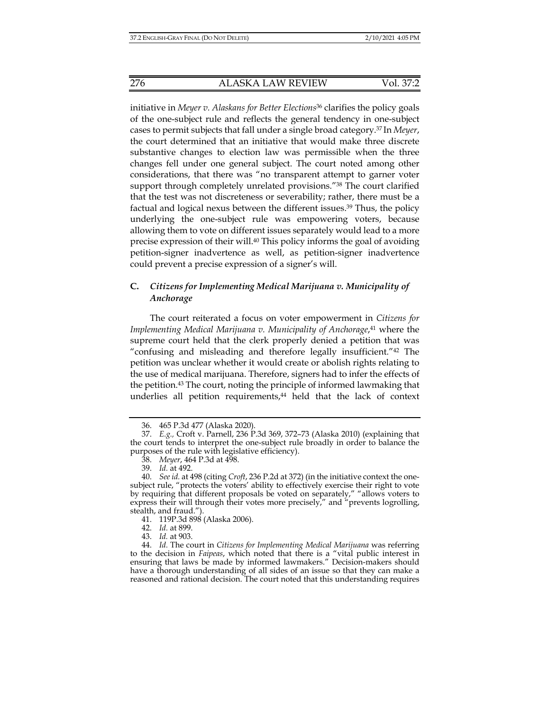initiative in *Meyer v. Alaskans for Better Elections*36 clarifies the policy goals of the one-subject rule and reflects the general tendency in one-subject cases to permit subjects that fall under a single broad category.37 In *Meyer*, the court determined that an initiative that would make three discrete substantive changes to election law was permissible when the three changes fell under one general subject. The court noted among other considerations, that there was "no transparent attempt to garner voter support through completely unrelated provisions."38 The court clarified that the test was not discreteness or severability; rather, there must be a factual and logical nexus between the different issues.39 Thus, the policy underlying the one-subject rule was empowering voters, because allowing them to vote on different issues separately would lead to a more precise expression of their will.40 This policy informs the goal of avoiding petition-signer inadvertence as well, as petition-signer inadvertence could prevent a precise expression of a signer's will.

# **C.** *Citizens for Implementing Medical Marijuana v. Municipality of Anchorage*

The court reiterated a focus on voter empowerment in *Citizens for Implementing Medical Marijuana v. Municipality of Anchorage*, 41 where the supreme court held that the clerk properly denied a petition that was "confusing and misleading and therefore legally insufficient."42 The petition was unclear whether it would create or abolish rights relating to the use of medical marijuana. Therefore, signers had to infer the effects of the petition.43 The court, noting the principle of informed lawmaking that underlies all petition requirements,<sup>44</sup> held that the lack of context

 <sup>36. 465</sup> P.3d 477 (Alaska 2020).

 <sup>37.</sup> *E.g.,* Croft v. Parnell, 236 P.3d 369, 372–73 (Alaska 2010) (explaining that the court tends to interpret the one-subject rule broadly in order to balance the purposes of the rule with legislative efficiency).

 <sup>38.</sup> *Meyer*, 464 P.3d at 498.

 <sup>39.</sup> *Id.* at 492.

 <sup>40.</sup> *See id.* at 498 (citing *Croft*, 236 P.2d at 372) (in the initiative context the onesubject rule, "protects the voters' ability to effectively exercise their right to vote by requiring that different proposals be voted on separately," "allows voters to express their will through their votes more precisely," and "prevents logrolling, stealth, and fraud.").

 <sup>41. 119</sup>P.3d 898 (Alaska 2006).

 <sup>42.</sup> *Id.* at 899.

 <sup>43.</sup> *Id.* at 903.

 <sup>44.</sup> *Id.* The court in *Citizens for Implementing Medical Marijuana* was referring to the decision in *Faipeas*, which noted that there is a "vital public interest in ensuring that laws be made by informed lawmakers." Decision-makers should have a thorough understanding of all sides of an issue so that they can make a reasoned and rational decision. The court noted that this understanding requires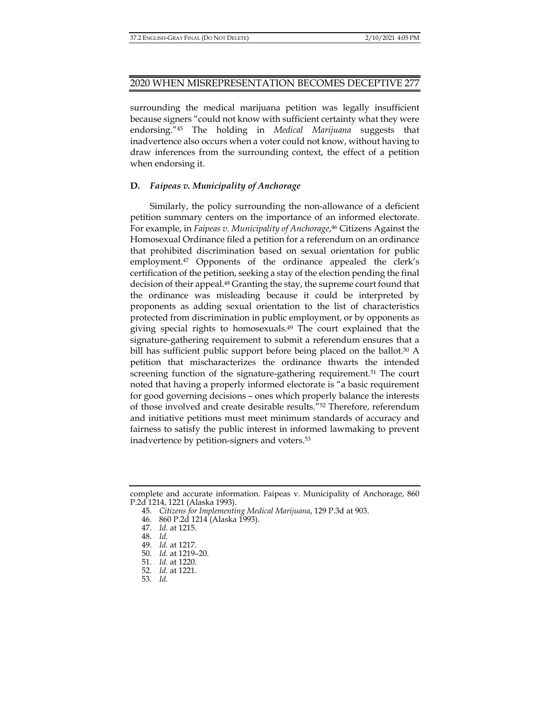# 2020 WHEN MISREPRESENTATION BECOMES DECEPTIVE 277

surrounding the medical marijuana petition was legally insufficient because signers "could not know with sufficient certainty what they were endorsing."45 The holding in *Medical Marijuana* suggests that inadvertence also occurs when a voter could not know, without having to draw inferences from the surrounding context, the effect of a petition when endorsing it.

## **D.** *Faipeas v. Municipality of Anchorage*

Similarly, the policy surrounding the non-allowance of a deficient petition summary centers on the importance of an informed electorate. For example, in *Faipeas v. Municipality of Anchorage*, 46 Citizens Against the Homosexual Ordinance filed a petition for a referendum on an ordinance that prohibited discrimination based on sexual orientation for public employment.47 Opponents of the ordinance appealed the clerk's certification of the petition, seeking a stay of the election pending the final decision of their appeal.48 Granting the stay, the supreme court found that the ordinance was misleading because it could be interpreted by proponents as adding sexual orientation to the list of characteristics protected from discrimination in public employment, or by opponents as giving special rights to homosexuals.49 The court explained that the signature-gathering requirement to submit a referendum ensures that a bill has sufficient public support before being placed on the ballot.<sup>50</sup> A petition that mischaracterizes the ordinance thwarts the intended screening function of the signature-gathering requirement.<sup>51</sup> The court noted that having a properly informed electorate is "a basic requirement for good governing decisions – ones which properly balance the interests of those involved and create desirable results."52 Therefore, referendum and initiative petitions must meet minimum standards of accuracy and fairness to satisfy the public interest in informed lawmaking to prevent inadvertence by petition-signers and voters.53

complete and accurate information. Faipeas v. Municipality of Anchorage, 860 P.2d 1214, 1221 (Alaska 1993).

 <sup>45.</sup> *Citizens for Implementing Medical Marijuana*, 129 P.3d at 903.

 <sup>46. 860</sup> P.2d 1214 (Alaska 1993).

 <sup>47.</sup> *Id.* at 1215.

 <sup>48.</sup> *Id.* 

 <sup>49.</sup> *Id.* at 1217.

 <sup>50.</sup> *Id.* at 1219–20.

 <sup>51.</sup> *Id.* at 1220.

 <sup>52.</sup> *Id.* at 1221.

<sup>53</sup>*. Id.*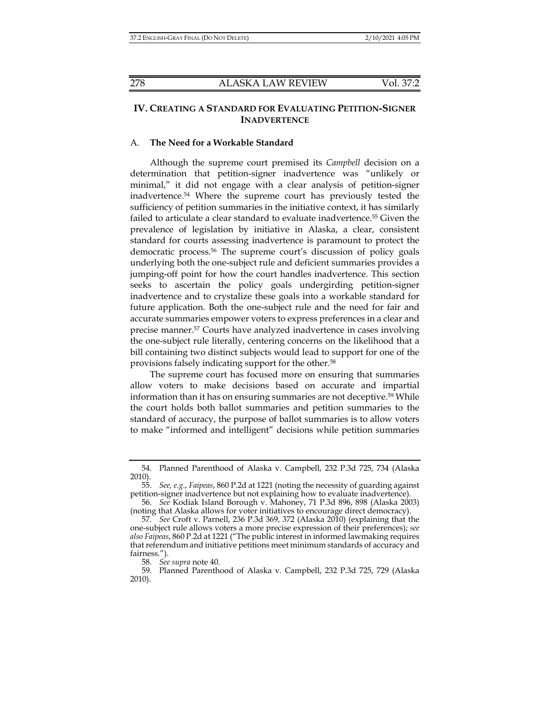# **IV. CREATING A STANDARD FOR EVALUATING PETITION-SIGNER INADVERTENCE**

#### A. **The Need for a Workable Standard**

Although the supreme court premised its *Campbell* decision on a determination that petition-signer inadvertence was "unlikely or minimal," it did not engage with a clear analysis of petition-signer inadvertence.54 Where the supreme court has previously tested the sufficiency of petition summaries in the initiative context, it has similarly failed to articulate a clear standard to evaluate inadvertence.55 Given the prevalence of legislation by initiative in Alaska, a clear, consistent standard for courts assessing inadvertence is paramount to protect the democratic process.56 The supreme court's discussion of policy goals underlying both the one-subject rule and deficient summaries provides a jumping-off point for how the court handles inadvertence. This section seeks to ascertain the policy goals undergirding petition-signer inadvertence and to crystalize these goals into a workable standard for future application. Both the one-subject rule and the need for fair and accurate summaries empower voters to express preferences in a clear and precise manner.57 Courts have analyzed inadvertence in cases involving the one-subject rule literally, centering concerns on the likelihood that a bill containing two distinct subjects would lead to support for one of the provisions falsely indicating support for the other.58

The supreme court has focused more on ensuring that summaries allow voters to make decisions based on accurate and impartial information than it has on ensuring summaries are not deceptive.59 While the court holds both ballot summaries and petition summaries to the standard of accuracy, the purpose of ballot summaries is to allow voters to make "informed and intelligent" decisions while petition summaries

 <sup>54.</sup> Planned Parenthood of Alaska v. Campbell, 232 P.3d 725, 734 (Alaska 2010).

 <sup>55.</sup> *See, e.g.*, *Faipeas*, 860 P.2d at 1221 (noting the necessity of guarding against petition-signer inadvertence but not explaining how to evaluate inadvertence).

 <sup>56.</sup> *See* Kodiak Island Borough v. Mahoney, 71 P.3d 896, 898 (Alaska 2003) (noting that Alaska allows for voter initiatives to encourage direct democracy).

 <sup>57.</sup> *See* Croft v. Parnell, 236 P.3d 369, 372 (Alaska 2010) (explaining that the one-subject rule allows voters a more precise expression of their preferences); *see also Faipeas*, 860 P.2d at 1221 ("The public interest in informed lawmaking requires that referendum and initiative petitions meet minimum standards of accuracy and fairness.").

 <sup>58.</sup> *See supra* note 40.

 <sup>59.</sup> Planned Parenthood of Alaska v. Campbell, 232 P.3d 725, 729 (Alaska 2010).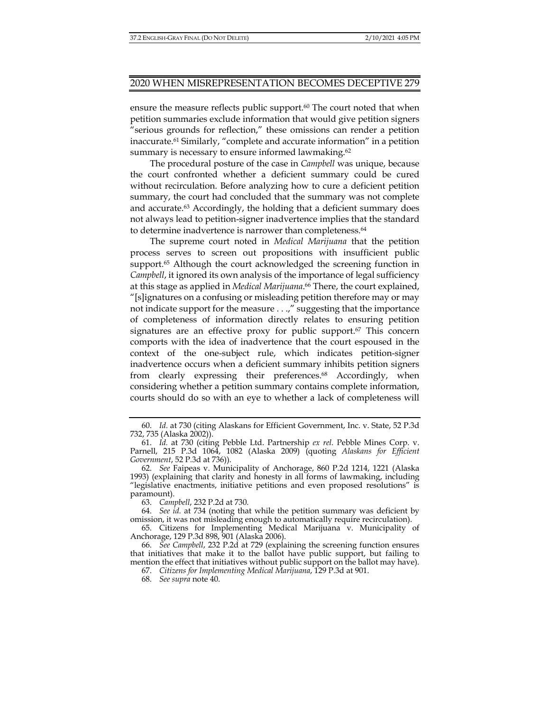ensure the measure reflects public support.<sup>60</sup> The court noted that when petition summaries exclude information that would give petition signers "serious grounds for reflection," these omissions can render a petition inaccurate.61 Similarly, "complete and accurate information" in a petition summary is necessary to ensure informed lawmaking.<sup>62</sup>

The procedural posture of the case in *Campbell* was unique, because the court confronted whether a deficient summary could be cured without recirculation. Before analyzing how to cure a deficient petition summary, the court had concluded that the summary was not complete and accurate.63 Accordingly, the holding that a deficient summary does not always lead to petition-signer inadvertence implies that the standard to determine inadvertence is narrower than completeness.64

The supreme court noted in *Medical Marijuana* that the petition process serves to screen out propositions with insufficient public support.<sup>65</sup> Although the court acknowledged the screening function in *Campbell*, it ignored its own analysis of the importance of legal sufficiency at this stage as applied in *Medical Marijuana*. 66 There, the court explained, "[s]ignatures on a confusing or misleading petition therefore may or may not indicate support for the measure . . .," suggesting that the importance of completeness of information directly relates to ensuring petition signatures are an effective proxy for public support.<sup>67</sup> This concern comports with the idea of inadvertence that the court espoused in the context of the one-subject rule, which indicates petition-signer inadvertence occurs when a deficient summary inhibits petition signers from clearly expressing their preferences.<sup>68</sup> Accordingly, when considering whether a petition summary contains complete information, courts should do so with an eye to whether a lack of completeness will

63. *Campbell*, 232 P.2d at 730.

 64. *See id.* at 734 (noting that while the petition summary was deficient by omission, it was not misleading enough to automatically require recirculation).

 65. Citizens for Implementing Medical Marijuana v. Municipality of Anchorage, 129 P.3d 898, 901 (Alaska 2006).

67. *Citizens for Implementing Medical Marijuana*, 129 P.3d at 901.

 <sup>60.</sup> *Id.* at 730 (citing Alaskans for Efficient Government, Inc. v. State, 52 P.3d 732, 735 (Alaska 2002)).

 <sup>61.</sup> *Id.* at 730 (citing Pebble Ltd. Partnership *ex rel.* Pebble Mines Corp. v. Parnell, 215 P.3d 1064, 1082 (Alaska 2009) (quoting *Alaskans for Efficient Government*, 52 P.3d at 736)).

 <sup>62.</sup> *See* Faipeas v. Municipality of Anchorage, 860 P.2d 1214, 1221 (Alaska 1993) (explaining that clarity and honesty in all forms of lawmaking, including "legislative enactments, initiative petitions and even proposed resolutions" is paramount).

 <sup>66.</sup> *See Campbell*, 232 P.2d at 729 (explaining the screening function ensures that initiatives that make it to the ballot have public support, but failing to mention the effect that initiatives without public support on the ballot may have).

 <sup>68.</sup> *See supra* note 40.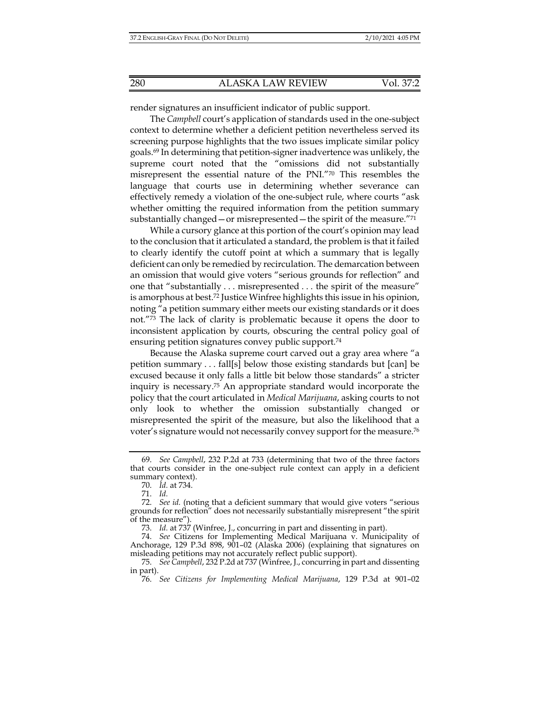render signatures an insufficient indicator of public support.

The *Campbell* court's application of standards used in the one-subject context to determine whether a deficient petition nevertheless served its screening purpose highlights that the two issues implicate similar policy goals.69 In determining that petition-signer inadvertence was unlikely, the supreme court noted that the "omissions did not substantially misrepresent the essential nature of the PNI."70 This resembles the language that courts use in determining whether severance can effectively remedy a violation of the one-subject rule, where courts "ask whether omitting the required information from the petition summary substantially changed—or misrepresented—the spirit of the measure."71

While a cursory glance at this portion of the court's opinion may lead to the conclusion that it articulated a standard, the problem is that it failed to clearly identify the cutoff point at which a summary that is legally deficient can only be remedied by recirculation. The demarcation between an omission that would give voters "serious grounds for reflection" and one that "substantially . . . misrepresented . . . the spirit of the measure" is amorphous at best.72 Justice Winfree highlights this issue in his opinion, noting "a petition summary either meets our existing standards or it does not."73 The lack of clarity is problematic because it opens the door to inconsistent application by courts, obscuring the central policy goal of ensuring petition signatures convey public support.74

Because the Alaska supreme court carved out a gray area where "a petition summary . . . fall[s] below those existing standards but [can] be excused because it only falls a little bit below those standards" a stricter inquiry is necessary.75 An appropriate standard would incorporate the policy that the court articulated in *Medical Marijuana*, asking courts to not only look to whether the omission substantially changed or misrepresented the spirit of the measure, but also the likelihood that a voter's signature would not necessarily convey support for the measure.76

 <sup>69.</sup> *See Campbell*, 232 P.2d at 733 (determining that two of the three factors that courts consider in the one-subject rule context can apply in a deficient summary context).

 <sup>70.</sup> *Id.* at 734.

 <sup>71.</sup> *Id.*

 <sup>72.</sup> *See id.* (noting that a deficient summary that would give voters "serious grounds for reflection" does not necessarily substantially misrepresent "the spirit of the measure").

 <sup>73.</sup> *Id.* at 737 (Winfree, J., concurring in part and dissenting in part).

 <sup>74.</sup> *See* Citizens for Implementing Medical Marijuana v. Municipality of Anchorage, 129 P.3d 898, 901–02 (Alaska 2006) (explaining that signatures on misleading petitions may not accurately reflect public support).

 <sup>75.</sup> *See Campbell*, 232 P.2d at 737 (Winfree, J., concurring in part and dissenting in part).

 <sup>76.</sup> *See Citizens for Implementing Medical Marijuana*, 129 P.3d at 901–02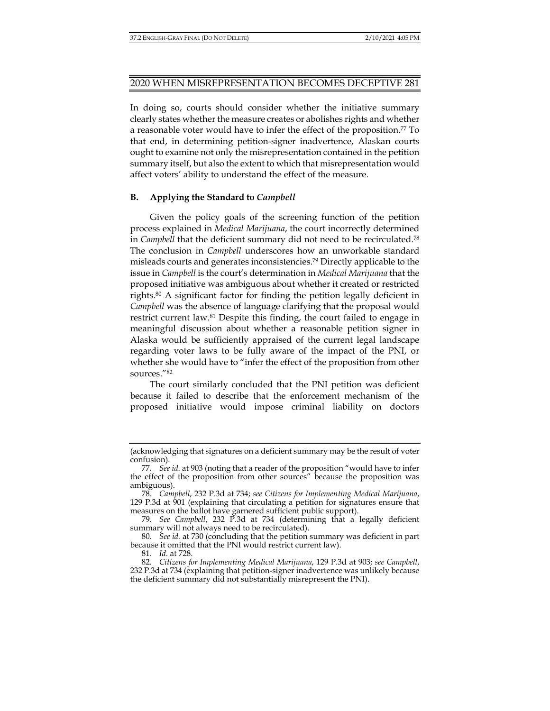## 2020 WHEN MISREPRESENTATION BECOMES DECEPTIVE 281

In doing so, courts should consider whether the initiative summary clearly states whether the measure creates or abolishes rights and whether a reasonable voter would have to infer the effect of the proposition.77 To that end, in determining petition-signer inadvertence, Alaskan courts ought to examine not only the misrepresentation contained in the petition summary itself, but also the extent to which that misrepresentation would affect voters' ability to understand the effect of the measure.

## **B. Applying the Standard to** *Campbell*

Given the policy goals of the screening function of the petition process explained in *Medical Marijuana*, the court incorrectly determined in *Campbell* that the deficient summary did not need to be recirculated.78 The conclusion in *Campbell* underscores how an unworkable standard misleads courts and generates inconsistencies.79 Directly applicable to the issue in *Campbell* is the court's determination in *Medical Marijuana* that the proposed initiative was ambiguous about whether it created or restricted rights.80 A significant factor for finding the petition legally deficient in *Campbell* was the absence of language clarifying that the proposal would restrict current law.81 Despite this finding, the court failed to engage in meaningful discussion about whether a reasonable petition signer in Alaska would be sufficiently appraised of the current legal landscape regarding voter laws to be fully aware of the impact of the PNI, or whether she would have to "infer the effect of the proposition from other sources."82

The court similarly concluded that the PNI petition was deficient because it failed to describe that the enforcement mechanism of the proposed initiative would impose criminal liability on doctors

<sup>(</sup>acknowledging that signatures on a deficient summary may be the result of voter confusion).

 <sup>77.</sup> *See id.* at 903 (noting that a reader of the proposition "would have to infer the effect of the proposition from other sources" because the proposition was ambiguous).

 <sup>78.</sup> *Campbell*, 232 P.3d at 734; *see Citizens for Implementing Medical Marijuana*, 129 P.3d at 901 (explaining that circulating a petition for signatures ensure that measures on the ballot have garnered sufficient public support).

 <sup>79.</sup> *See Campbell*, 232 P.3d at 734 (determining that a legally deficient summary will not always need to be recirculated).

 <sup>80.</sup> *See id.* at 730 (concluding that the petition summary was deficient in part because it omitted that the PNI would restrict current law).

 <sup>81.</sup> *Id.* at 728.

 <sup>82.</sup> *Citizens for Implementing Medical Marijuana*, 129 P.3d at 903; *see Campbell*, 232 P.3d at 734 (explaining that petition-signer inadvertence was unlikely because the deficient summary did not substantially misrepresent the PNI).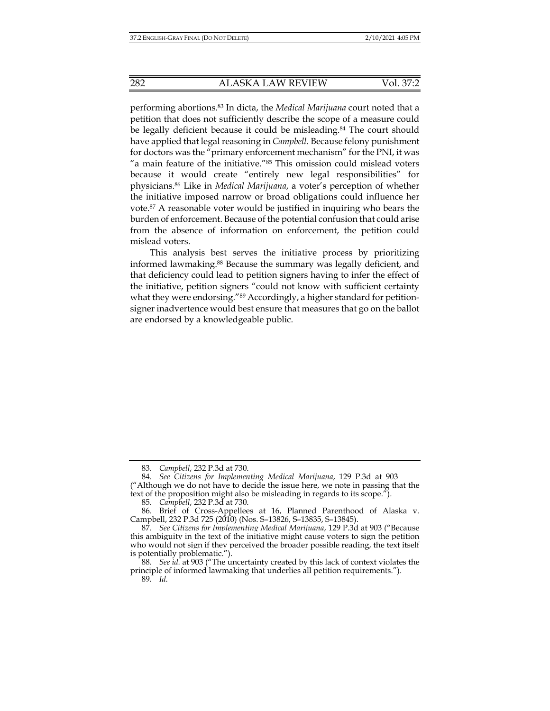performing abortions.83 In dicta, the *Medical Marijuana* court noted that a petition that does not sufficiently describe the scope of a measure could be legally deficient because it could be misleading.<sup>84</sup> The court should have applied that legal reasoning in *Campbell*. Because felony punishment for doctors was the "primary enforcement mechanism" for the PNI, it was "a main feature of the initiative."85 This omission could mislead voters because it would create "entirely new legal responsibilities" for physicians.86 Like in *Medical Marijuana*, a voter's perception of whether the initiative imposed narrow or broad obligations could influence her vote.87 A reasonable voter would be justified in inquiring who bears the burden of enforcement. Because of the potential confusion that could arise from the absence of information on enforcement, the petition could mislead voters.

This analysis best serves the initiative process by prioritizing informed lawmaking.88 Because the summary was legally deficient, and that deficiency could lead to petition signers having to infer the effect of the initiative, petition signers "could not know with sufficient certainty what they were endorsing."<sup>89</sup> Accordingly, a higher standard for petitionsigner inadvertence would best ensure that measures that go on the ballot are endorsed by a knowledgeable public.

 <sup>83.</sup> *Campbell*, 232 P.3d at 730.

 <sup>84.</sup> *See Citizens for Implementing Medical Marijuana*, 129 P.3d at 903 ("Although we do not have to decide the issue here, we note in passing that the text of the proposition might also be misleading in regards to its scope.").

 <sup>85.</sup> *Campbell*, 232 P.3d at 730.

 <sup>86.</sup> Brief of Cross-Appellees at 16, Planned Parenthood of Alaska v. Campbell, 232 P.3d 725 (2010) (Nos. S–13826, S–13835, S–13845).

 <sup>87.</sup> *See Citizens for Implementing Medical Marijuana*, 129 P.3d at 903 ("Because this ambiguity in the text of the initiative might cause voters to sign the petition who would not sign if they perceived the broader possible reading, the text itself is potentially problematic.").

 <sup>88.</sup> *See id.* at 903 ("The uncertainty created by this lack of context violates the principle of informed lawmaking that underlies all petition requirements."). 89*. Id.*